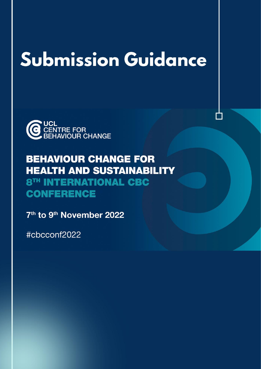# **Submission Guidance**



# **BEHAVIOUR CHANGE FOR HEALTH AND SUSTAINABILITY** 8TH INTERNATIONAL CBC **CONFERENCE**

7<sup>th</sup> to 9<sup>th</sup> November 2022

#cbcconf2022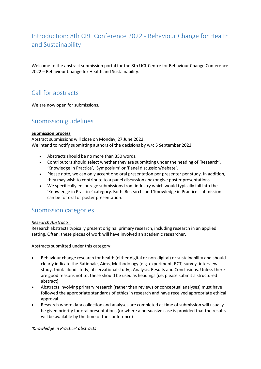# Introduction: 8th CBC Conference 2022 - Behaviour Change for Health and Sustainability

Welcome to the abstract submission portal for the 8th UCL Centre for Behaviour Change Conference 2022 – Behaviour Change for Health and Sustainability.

# Call for abstracts

We are now open for submissions.

# Submission guidelines

#### **Submission process**

Abstract submissions will close on Monday, 27 June 2022. We intend to notify submitting authors of the decisions by w/c 5 September 2022.

- Abstracts should be no more than 350 words.
- Contributors should select whether they are submitting under the heading of 'Research', 'Knowledge in Practice', 'Symposium' or 'Panel discussion/debate'.
- Please note, we can only accept one oral presentation per presenter per study. In addition, they may wish to contribute to a panel discussion and/or give poster presentations.
- We specifically encourage submissions from industry which would typically fall into the 'Knowledge in Practice' category. Both 'Research' and 'Knowledge in Practice' submissions can be for oral or poster presentation.

## Submission categories

#### *Research Abstracts*

Research abstracts typically present original primary research, including research in an applied setting. Often, these pieces of work will have involved an academic researcher.

Abstracts submitted under this category:

- Behaviour change research for health (either digital or non-digital) or sustainability and should clearly indicate the Rationale, Aims, Methodology (e.g. experiment, RCT, survey, interview study, think-aloud study, observational study), Analysis, Results and Conclusions. Unless there are good reasons not to, these should be used as headings (i.e. please submit a structured abstract).
- Abstracts involving primary research (rather than reviews or conceptual analyses) must have followed the appropriate standards of ethics in research and have received appropriate ethical approval.
- Research where data collection and analyses are completed at time of submission will usually be given priority for oral presentations (or where a persuasive case is provided that the results will be available by the time of the conference)

#### *'Knowledge in Practice' abstracts*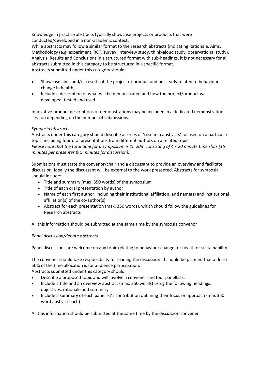Knowledge in practice abstracts typically showcase projects or products that were conducted/developed in a non-academic context.

While abstracts may follow a similar format to the research abstracts (indicating Rationale, Aims, Methodology (e.g. experiment, RCT, survey, interview study, think-aloud study, observational study), Analysis, Results and Conclusions in a structured format with sub-headings, it is not necessary for all abstracts submitted in this category to be structured in a specific format. Abstracts submitted under this category should:

- Showcase aims and/or results of the project or product and be clearly related to behaviour change in health,
- Include a description of what will be demonstrated and how the project/product was developed, tested and used.

Innovative product descriptions or demonstrations may be included in a dedicated demonstration session depending on the number of submissions.

#### *Symposia abstracts*

Abstracts under this category should describe a series of 'research abstracts' focused on a particular topic, including four oral presentations from different authors on a related topic. *Please note that the total time for a symposium is 1h 20m consisting of 4 x 20 minute time slots (15 minutes per presenter & 5 minutes for discussion).*

Submissions must state the convenor/chair and a discussant to provide an overview and facilitate discussion. Ideally the discussant will be external to the work presented. Abstracts for symposia should include:

- Title and summary (max. 350 words) of the symposium
- Title of each oral presentation by author
- Name of each first author, including their institutional affiliation, and name(s) and institutional affiliation(s) of the co-author(s)
- Abstract for each presentation (max. 350 words), which should follow the guidelines for Research abstracts

All this information should be submitted at the same time by the symposia convenor

#### *Panel discussion/debate abstracts*

Panel discussions are welcome on any topic relating to behaviour change for health or sustainability.

The convener should take responsibility for leading the discussion. It should be planned that at least 50% of the time allocation is for audience participation.

Abstracts submitted under this category should:

- Describe a proposed topic and will involve a convener and four panellists,
- Include a title and an overview abstract (max. 350 words) using the following headings: objectives, rationale and summary
- Include a summary of each panellist's contribution outlining their focus or approach (max 350 word abstract each)

All this information should be submitted at the same time by the discussion convener